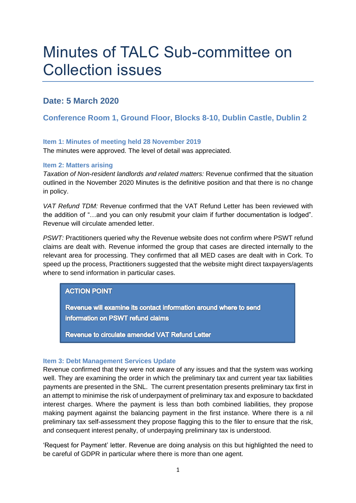# Minutes of TALC Sub-committee on Collection issues

## **Date: 5 March 2020**

## **Conference Room 1, Ground Floor, Blocks 8-10, Dublin Castle, Dublin 2**

#### **Item 1: Minutes of meeting held 28 November 2019**

The minutes were approved. The level of detail was appreciated.

#### **Item 2: Matters arising**

*Taxation of Non-resident landlords and related matters:* Revenue confirmed that the situation outlined in the November 2020 Minutes is the definitive position and that there is no change in policy.

*VAT Refund TDM:* Revenue confirmed that the VAT Refund Letter has been reviewed with the addition of "…and you can only resubmit your claim if further documentation is lodged". Revenue will circulate amended letter.

*PSWT:* Practitioners queried why the Revenue website does not confirm where PSWT refund claims are dealt with. Revenue informed the group that cases are directed internally to the relevant area for processing. They confirmed that all MED cases are dealt with in Cork. To speed up the process, Practitioners suggested that the website might direct taxpayers/agents where to send information in particular cases.

## **ACTION POINT**

Revenue will examine its contact information around where to send information on PSWT refund claims

Revenue to circulate amended VAT Refund Letter

#### **Item 3: Debt Management Services Update**

Revenue confirmed that they were not aware of any issues and that the system was working well. They are examining the order in which the preliminary tax and current year tax liabilities payments are presented in the SNL. The current presentation presents preliminary tax first in an attempt to minimise the risk of underpayment of preliminary tax and exposure to backdated interest charges. Where the payment is less than both combined liabilities, they propose making payment against the balancing payment in the first instance. Where there is a nil preliminary tax self-assessment they propose flagging this to the filer to ensure that the risk, and consequent interest penalty, of underpaying preliminary tax is understood.

'Request for Payment' letter. Revenue are doing analysis on this but highlighted the need to be careful of GDPR in particular where there is more than one agent.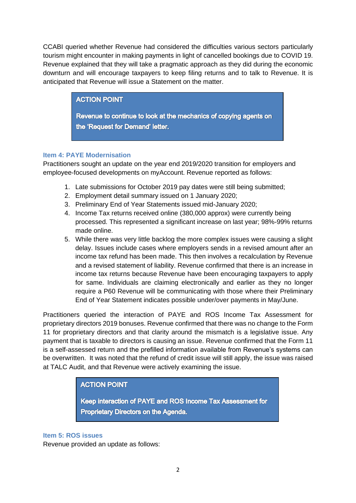CCABI queried whether Revenue had considered the difficulties various sectors particularly tourism might encounter in making payments in light of cancelled bookings due to COVID 19. Revenue explained that they will take a pragmatic approach as they did during the economic downturn and will encourage taxpayers to keep filing returns and to talk to Revenue. It is anticipated that Revenue will issue a Statement on the matter.

## **ACTION POINT**

Revenue to continue to look at the mechanics of copying agents on the 'Request for Demand' letter.

## **Item 4: PAYE Modernisation**

Practitioners sought an update on the year end 2019/2020 transition for employers and employee-focused developments on myAccount. Revenue reported as follows:

- 1. Late submissions for October 2019 pay dates were still being submitted;
- 2. Employment detail summary issued on 1 January 2020;
- 3. Preliminary End of Year Statements issued mid-January 2020;
- 4. Income Tax returns received online (380,000 approx) were currently being processed. This represented a significant increase on last year; 98%-99% returns made online.
- 5. While there was very little backlog the more complex issues were causing a slight delay. Issues include cases where employers sends in a revised amount after an income tax refund has been made. This then involves a recalculation by Revenue and a revised statement of liability. Revenue confirmed that there is an increase in income tax returns because Revenue have been encouraging taxpayers to apply for same. Individuals are claiming electronically and earlier as they no longer require a P60 Revenue will be communicating with those where their Preliminary End of Year Statement indicates possible under/over payments in May/June.

Practitioners queried the interaction of PAYE and ROS Income Tax Assessment for proprietary directors 2019 bonuses. Revenue confirmed that there was no change to the Form 11 for proprietary directors and that clarity around the mismatch is a legislative issue. Any payment that is taxable to directors is causing an issue. Revenue confirmed that the Form 11 is a self-assessed return and the prefilled information available from Revenue's systems can be overwritten. It was noted that the refund of credit issue will still apply, the issue was raised at TALC Audit, and that Revenue were actively examining the issue.

## **ACTION POINT**

Keep interaction of PAYE and ROS Income Tax Assessment for Proprietary Directors on the Agenda.

#### **Item 5: ROS issues**

Revenue provided an update as follows: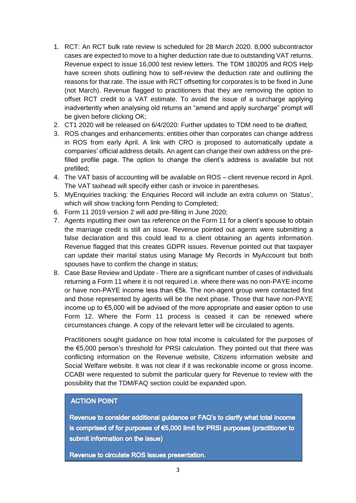- 1. RCT: An RCT bulk rate review is scheduled for 28 March 2020. 8,000 subcontractor cases are expected to move to a higher deduction rate due to outstanding VAT returns. Revenue expect to issue 16,000 test review letters. The TDM 180205 and ROS Help have screen shots outlining how to self-review the deduction rate and outlining the reasons for that rate. The issue with RCT offsetting for corporates is to be fixed in June (not March). Revenue flagged to practitioners that they are removing the option to offset RCT credit to a VAT estimate. To avoid the issue of a surcharge applying inadvertently when analysing old returns an "amend and apply surcharge" prompt will be given before clicking OK;
- 2. CT1 2020 will be released on 6/4/2020: Further updates to TDM need to be drafted;
- 3. ROS changes and enhancements: entities other than corporates can change address in ROS from early April. A link with CRO is proposed to automatically update a companies' official address details. An agent can change their own address on the prefilled profile page. The option to change the client's address is available but not prefilled;
- 4. The VAT basis of accounting will be available on ROS client revenue record in April. The VAT taxhead will specify either cash or invoice in parentheses.
- 5. MyEnquiries tracking: the Enquiries Record will include an extra column on 'Status', which will show tracking form Pending to Completed;
- 6. Form 11 2019 version 2 will add pre-filling in June 2020;
- 7. Agents inputting their own tax reference on the Form 11 for a client's spouse to obtain the marriage credit is still an issue. Revenue pointed out agents were submitting a false declaration and this could lead to a client obtaining an agents information. Revenue flagged that this creates GDPR issues. Revenue pointed out that taxpayer can update their marital status using Manage My Records in MyAccount but both spouses have to confirm the change in status;
- 8. Case Base Review and Update There are a significant number of cases of individuals returning a Form 11 where it is not required i.e. where there was no non-PAYE income or have non-PAYE income less than €5k. The non-agent group were contacted first and those represented by agents will be the next phase. Those that have non-PAYE income up to €5,000 will be advised of the more appropriate and easier option to use Form 12. Where the Form 11 process is ceased it can be renewed where circumstances change. A copy of the relevant letter will be circulated to agents.

Practitioners sought guidance on how total income is calculated for the purposes of the €5,000 person's threshold for PRSI calculation. They pointed out that there was conflicting information on the Revenue website, Citizens information website and Social Welfare website. It was not clear if it was reckonable income or gross income. CCABI were requested to submit the particular query for Revenue to review with the possibility that the TDM/FAQ section could be expanded upon.

#### **ACTION POINT**

Revenue to consider additional guidance or FAQ's to clarify what total income is comprised of for purposes of  $65,000$  limit for PRSI purposes (practitioner to submit information on the issue)

Revenue to circulate ROS issues presentation.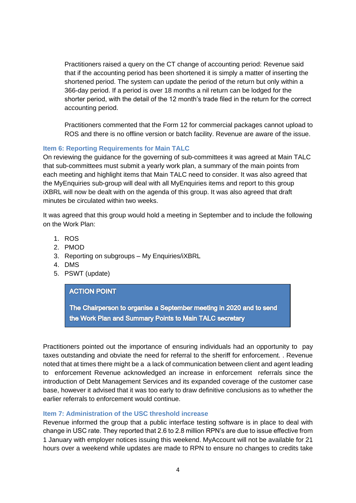Practitioners raised a query on the CT change of accounting period: Revenue said that if the accounting period has been shortened it is simply a matter of inserting the shortened period. The system can update the period of the return but only within a 366-day period. If a period is over 18 months a nil return can be lodged for the shorter period, with the detail of the 12 month's trade filed in the return for the correct accounting period.

Practitioners commented that the Form 12 for commercial packages cannot upload to ROS and there is no offline version or batch facility. Revenue are aware of the issue.

## **Item 6: Reporting Requirements for Main TALC**

On reviewing the guidance for the governing of sub-committees it was agreed at Main TALC that sub-committees must submit a yearly work plan, a summary of the main points from each meeting and highlight items that Main TALC need to consider. It was also agreed that the MyEnquiries sub-group will deal with all MyEnquiries items and report to this group iXBRL will now be dealt with on the agenda of this group. It was also agreed that draft minutes be circulated within two weeks.

It was agreed that this group would hold a meeting in September and to include the following on the Work Plan:

- 1. ROS
- 2. PMOD
- 3. Reporting on subgroups My Enquiries/iXBRL
- 4. DMS
- 5. PSWT (update)

## **ACTION POINT**

The Chairperson to organise a September meeting in 2020 and to send the Work Plan and Summary Points to Main TALC secretary

Practitioners pointed out the importance of ensuring individuals had an opportunity to pay taxes outstanding and obviate the need for referral to the sheriff for enforcement. . Revenue noted that at times there might be a a lack of communication between client and agent leading to enforcement Revenue acknowledged an increase in enforcement referrals since the introduction of Debt Management Services and its expanded coverage of the customer case base, however it advised that it was too early to draw definitive conclusions as to whether the earlier referrals to enforcement would continue.

#### **Item 7: Administration of the USC threshold increase**

Revenue informed the group that a public interface testing software is in place to deal with change in USC rate. They reported that 2.6 to 2.8 million RPN's are due to issue effective from 1 January with employer notices issuing this weekend. MyAccount will not be available for 21 hours over a weekend while updates are made to RPN to ensure no changes to credits take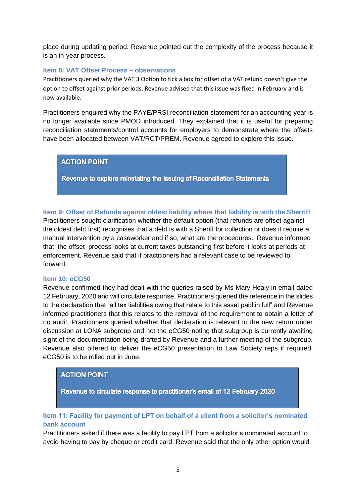place during updating period. Revenue pointed out the complexity of the process because it is an in-year process.

#### **Item 8: VAT Offset Process – observations**

Practitioners queried why the VAT 3 Option to tick a box for offset of a VAT refund doesn't give the option to offset against prior periods. Revenue advised that this issue was fixed in February and is now available.

Practitioners enquired why the PAYE/PRSI reconciliation statement for an accounting year is no longer available since PMOD introduced. They explained that it is useful for preparing reconciliation statements/control accounts for employers to demonstrate where the offsets have been allocated between VAT/RCT/PREM. Revenue agreed to explore this issue.

#### **ACTION POINT**

Revenue to explore reinstating the issuing of Reconciliation Statements

**Item 9: Offset of Refunds against oldest liability where that liability is with the Sherriff** Practitioners sought clarification whether the default option (that refunds are offset against the oldest debt first) recognises that a debt is with a Sheriff for collection or does it require a manual intervention by a caseworker and if so, what are the procedures. Revenue informed that the offset process looks at current taxes outstanding first before it looks at periods at enforcement. Revenue said that if practitioners had a relevant case to be reviewed to forward.

#### **Item 10: eCG50**

Revenue confirmed they had dealt with the queries raised by Ms Mary Healy in email dated 12 February, 2020 and will circulate response. Practitioners queried the reference in the slides to the declaration that "all tax liabilities owing that relate to this asset paid in full" and Revenue informed practitioners that this relates to the removal of the requirement to obtain a letter of no audit. Practitioners queried whether that declaration is relevant to the new return under discussion at LONA subgroup and not the eCG50 noting that subgroup is currently awaiting sight of the documentation being drafted by Revenue and a further meeting of the subgroup. Revenue also offered to deliver the eCG50 presentation to Law Society reps if required. eCG50 is to be rolled out in June.

## **ACTION POINT**

Revenue to circulate response to practitioner's email of 12 February 2020

## **Item 11: Facility for payment of LPT on behalf of a client from a solicitor's nominated bank account**

Practitioners asked if there was a facility to pay LPT from a solicitor's nominated account to avoid having to pay by cheque or credit card. Revenue said that the only other option would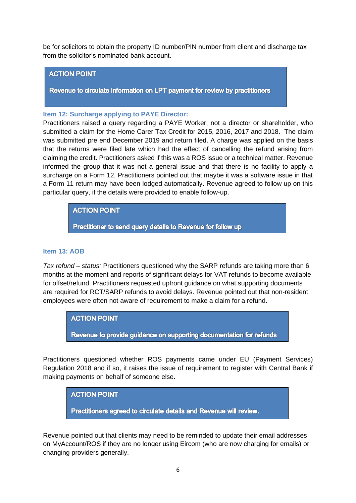be for solicitors to obtain the property ID number/PIN number from client and discharge tax from the solicitor's nominated bank account.

#### **ACTION POINT**

Revenue to circulate information on LPT payment for review by practitioners

#### **Item 12: Surcharge applying to PAYE Director:**

Practitioners raised a query regarding a PAYE Worker, not a director or shareholder, who submitted a claim for the Home Carer Tax Credit for 2015, 2016, 2017 and 2018. The claim was submitted pre end December 2019 and return filed. A charge was applied on the basis that the returns were filed late which had the effect of cancelling the refund arising from claiming the credit. Practitioners asked if this was a ROS issue or a technical matter. Revenue informed the group that it was not a general issue and that there is no facility to apply a surcharge on a Form 12. Practitioners pointed out that maybe it was a software issue in that a Form 11 return may have been lodged automatically. Revenue agreed to follow up on this particular query, if the details were provided to enable follow-up.

## **ACTION POINT**

Practitioner to send query details to Revenue for follow up

#### **Item 13: AOB**

*Tax refund – status:* Practitioners questioned why the SARP refunds are taking more than 6 months at the moment and reports of significant delays for VAT refunds to become available for offset/refund. Practitioners requested upfront guidance on what supporting documents are required for RCT/SARP refunds to avoid delays. Revenue pointed out that non-resident employees were often not aware of requirement to make a claim for a refund.

**ACTION POINT** 

Revenue to provide guidance on supporting documentation for refunds

Practitioners questioned whether ROS payments came under EU (Payment Services) Regulation 2018 and if so, it raises the issue of requirement to register with Central Bank if making payments on behalf of someone else.

## **ACTION POINT**

Practitioners agreed to circulate details and Revenue will review.

Revenue pointed out that clients may need to be reminded to update their email addresses on MyAccount/ROS if they are no longer using Eircom (who are now charging for emails) or changing providers generally.